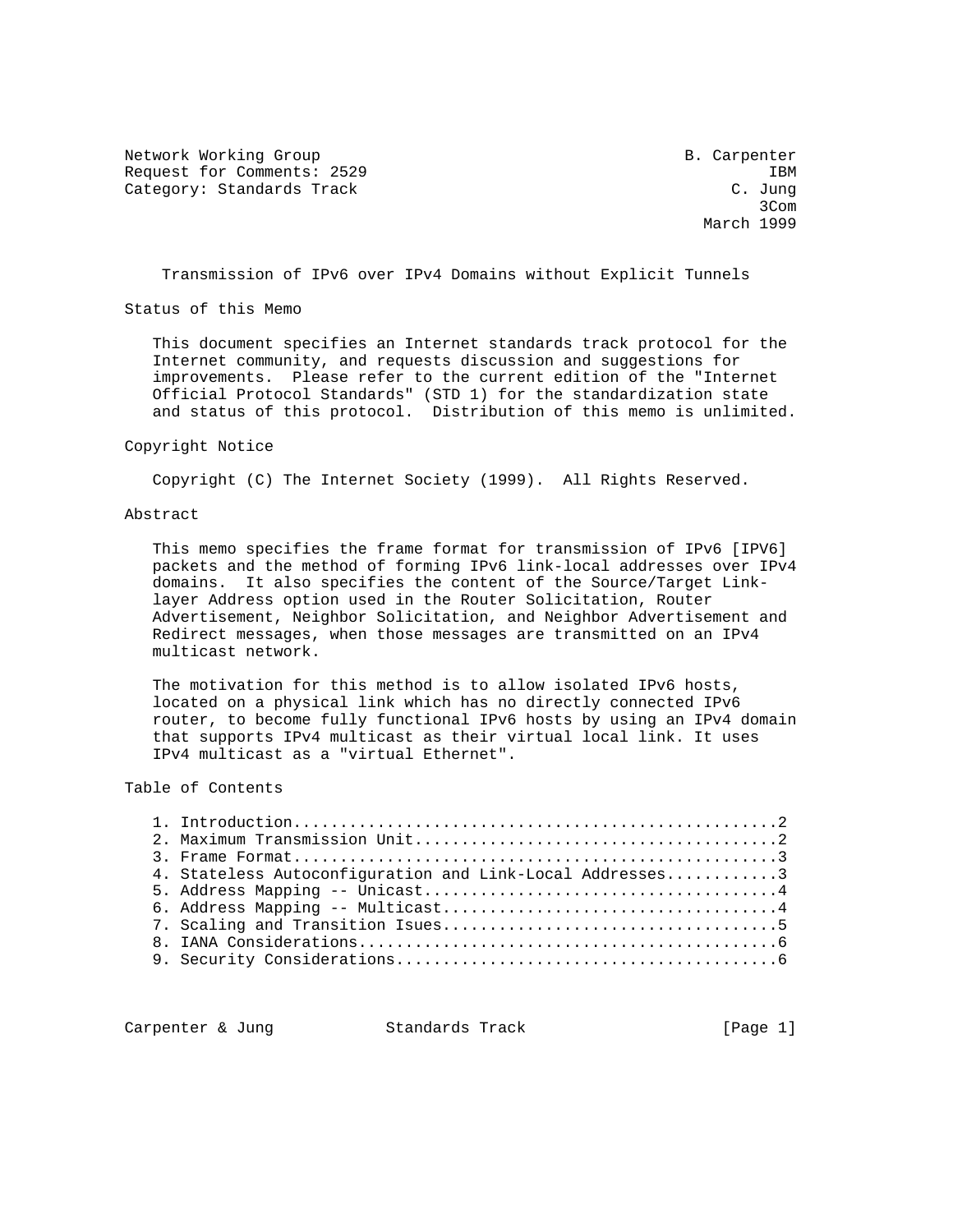Network Working Group B. Carpenter Request for Comments: 2529 IBM Category: Standards Track

**3Com 3Com 3Com** March 1999

Transmission of IPv6 over IPv4 Domains without Explicit Tunnels

Status of this Memo

 This document specifies an Internet standards track protocol for the Internet community, and requests discussion and suggestions for improvements. Please refer to the current edition of the "Internet Official Protocol Standards" (STD 1) for the standardization state and status of this protocol. Distribution of this memo is unlimited.

#### Copyright Notice

Copyright (C) The Internet Society (1999). All Rights Reserved.

#### Abstract

 This memo specifies the frame format for transmission of IPv6 [IPV6] packets and the method of forming IPv6 link-local addresses over IPv4 domains. It also specifies the content of the Source/Target Link layer Address option used in the Router Solicitation, Router Advertisement, Neighbor Solicitation, and Neighbor Advertisement and Redirect messages, when those messages are transmitted on an IPv4 multicast network.

 The motivation for this method is to allow isolated IPv6 hosts, located on a physical link which has no directly connected IPv6 router, to become fully functional IPv6 hosts by using an IPv4 domain that supports IPv4 multicast as their virtual local link. It uses IPv4 multicast as a "virtual Ethernet".

# Table of Contents

|  | 4. Stateless Autoconfiguration and Link-Local Addresses3 |  |
|--|----------------------------------------------------------|--|
|  |                                                          |  |
|  |                                                          |  |
|  |                                                          |  |
|  |                                                          |  |
|  |                                                          |  |

Carpenter & Jung Standards Track [Page 1]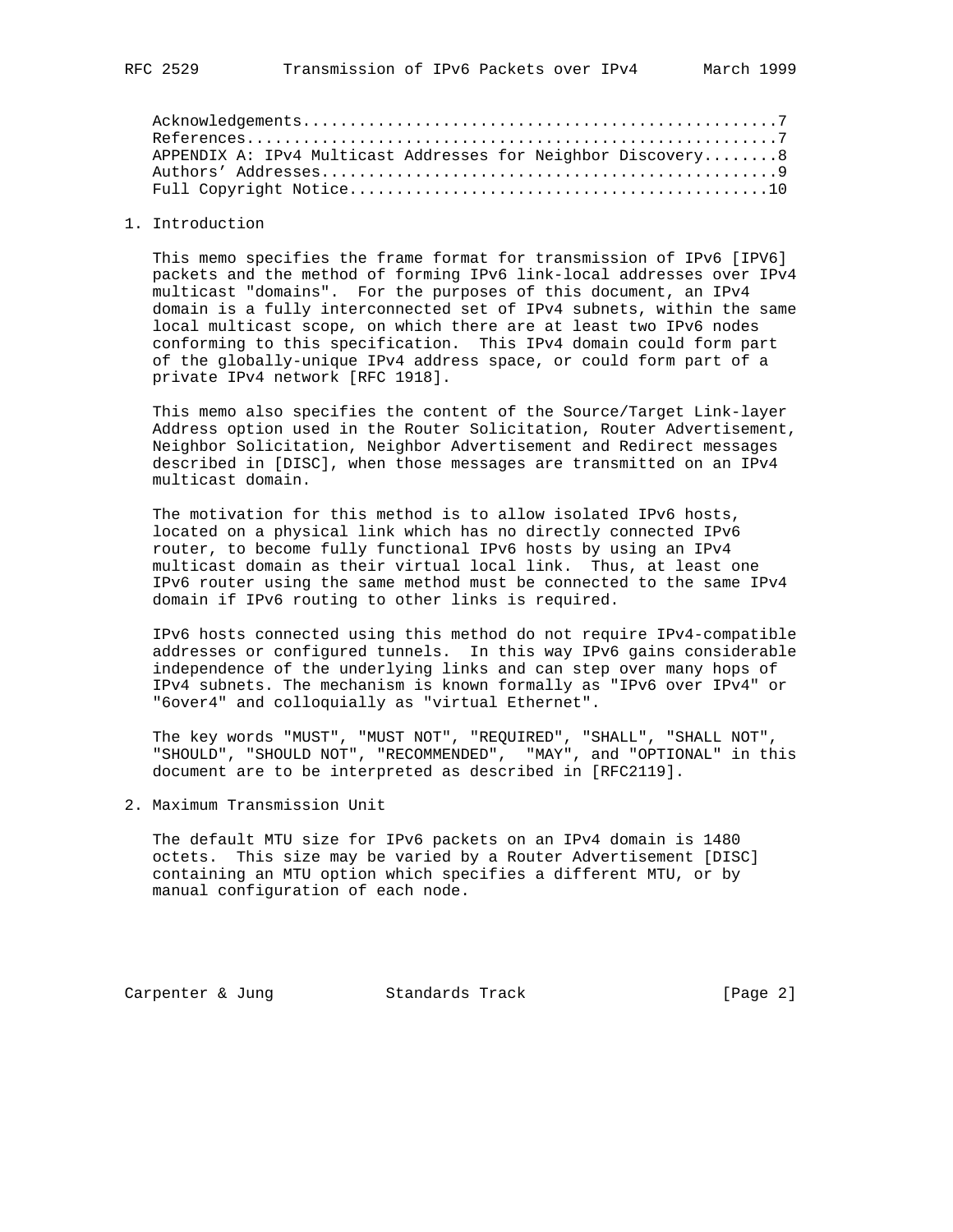| APPENDIX A: IPv4 Multicast Addresses for Neighbor Discovery 8 |  |
|---------------------------------------------------------------|--|
|                                                               |  |
|                                                               |  |
|                                                               |  |

## 1. Introduction

 This memo specifies the frame format for transmission of IPv6 [IPV6] packets and the method of forming IPv6 link-local addresses over IPv4 multicast "domains". For the purposes of this document, an IPv4 domain is a fully interconnected set of IPv4 subnets, within the same local multicast scope, on which there are at least two IPv6 nodes conforming to this specification. This IPv4 domain could form part of the globally-unique IPv4 address space, or could form part of a private IPv4 network [RFC 1918].

 This memo also specifies the content of the Source/Target Link-layer Address option used in the Router Solicitation, Router Advertisement, Neighbor Solicitation, Neighbor Advertisement and Redirect messages described in [DISC], when those messages are transmitted on an IPv4 multicast domain.

 The motivation for this method is to allow isolated IPv6 hosts, located on a physical link which has no directly connected IPv6 router, to become fully functional IPv6 hosts by using an IPv4 multicast domain as their virtual local link. Thus, at least one IPv6 router using the same method must be connected to the same IPv4 domain if IPv6 routing to other links is required.

 IPv6 hosts connected using this method do not require IPv4-compatible addresses or configured tunnels. In this way IPv6 gains considerable independence of the underlying links and can step over many hops of IPv4 subnets. The mechanism is known formally as "IPv6 over IPv4" or "6over4" and colloquially as "virtual Ethernet".

 The key words "MUST", "MUST NOT", "REQUIRED", "SHALL", "SHALL NOT", "SHOULD", "SHOULD NOT", "RECOMMENDED", "MAY", and "OPTIONAL" in this document are to be interpreted as described in [RFC2119].

2. Maximum Transmission Unit

 The default MTU size for IPv6 packets on an IPv4 domain is 1480 octets. This size may be varied by a Router Advertisement [DISC] containing an MTU option which specifies a different MTU, or by manual configuration of each node.

Carpenter & Jung Standards Track [Page 2]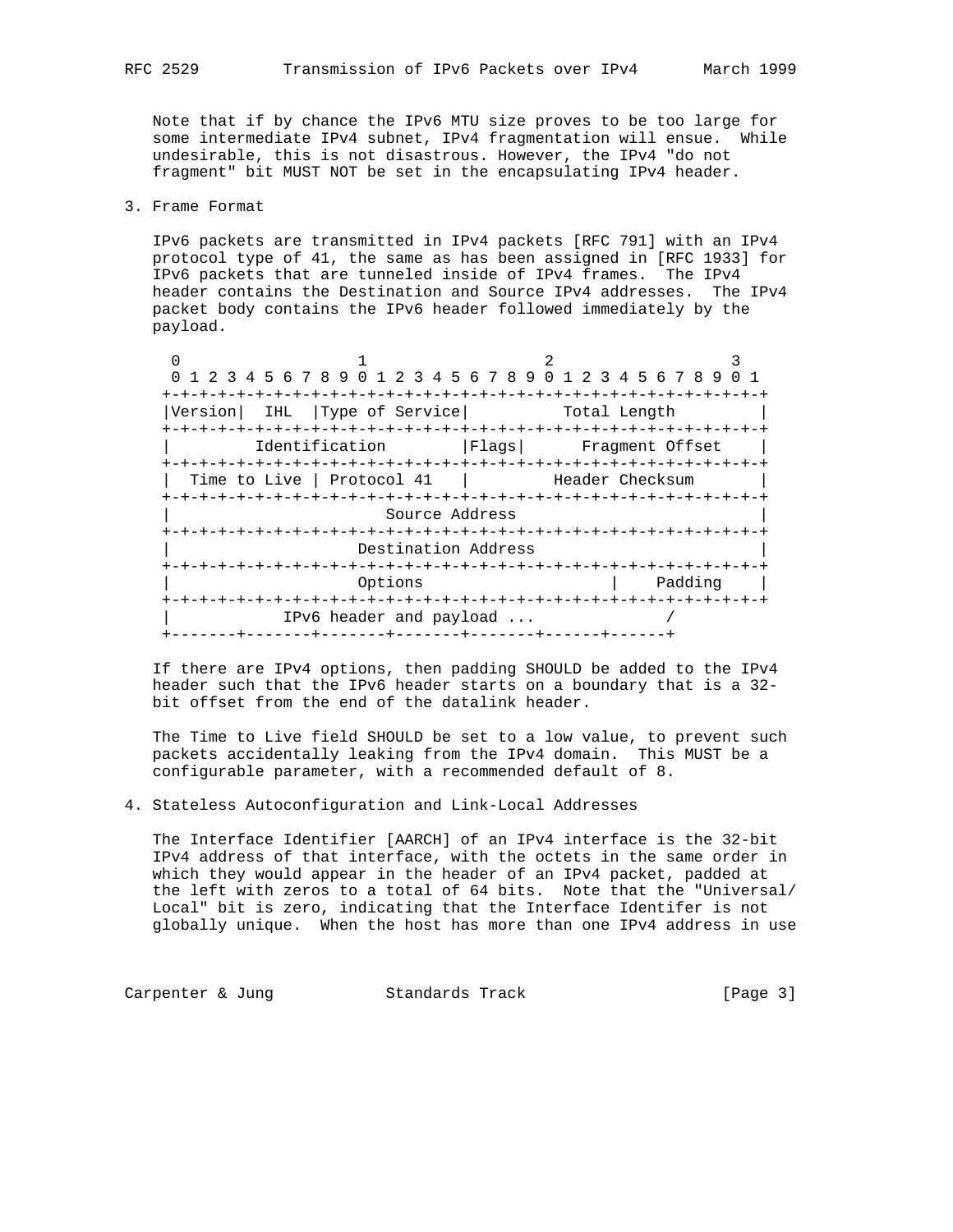Note that if by chance the IPv6 MTU size proves to be too large for some intermediate IPv4 subnet, IPv4 fragmentation will ensue. While undesirable, this is not disastrous. However, the IPv4 "do not fragment" bit MUST NOT be set in the encapsulating IPv4 header.

3. Frame Format

 IPv6 packets are transmitted in IPv4 packets [RFC 791] with an IPv4 protocol type of 41, the same as has been assigned in [RFC 1933] for IPv6 packets that are tunneled inside of IPv4 frames. The IPv4 header contains the Destination and Source IPv4 addresses. The IPv4 packet body contains the IPv6 header followed immediately by the payload.

| 0 1 2 3 4 5 6 7 8 9 0 1 2 3 4 5 6 7 8 9 0 1 2 3 4 5 6 7 8 9 |                                  |                                 |                        |  |         |  |  |
|-------------------------------------------------------------|----------------------------------|---------------------------------|------------------------|--|---------|--|--|
|                                                             |                                  |                                 |                        |  |         |  |  |
| Version <br>IHL                                             | Type of Service                  |                                 | Total Length           |  |         |  |  |
|                                                             |                                  |                                 |                        |  |         |  |  |
|                                                             | Identification                   | Flags  Fragment Offset          |                        |  |         |  |  |
|                                                             |                                  |                                 |                        |  |         |  |  |
| Time to Live   Protocol 41                                  |                                  |                                 | Header Checksum        |  |         |  |  |
|                                                             |                                  |                                 |                        |  |         |  |  |
|                                                             | Source Address                   |                                 |                        |  |         |  |  |
|                                                             | -+-+-+-+-+-+-+-+-+-+-+-+         |                                 | -+-+-+-+-+-+-+-+-+-+-+ |  |         |  |  |
|                                                             | Destination Address              |                                 |                        |  |         |  |  |
|                                                             |                                  | -+-+-+-+-+-+-+-+-+-+-+-+-+-+-+- |                        |  |         |  |  |
|                                                             | Options                          |                                 |                        |  | Padding |  |  |
|                                                             |                                  |                                 |                        |  |         |  |  |
|                                                             | IPv6 header and payload $\ldots$ |                                 |                        |  |         |  |  |
|                                                             |                                  |                                 |                        |  |         |  |  |

 If there are IPv4 options, then padding SHOULD be added to the IPv4 header such that the IPv6 header starts on a boundary that is a 32 bit offset from the end of the datalink header.

 The Time to Live field SHOULD be set to a low value, to prevent such packets accidentally leaking from the IPv4 domain. This MUST be a configurable parameter, with a recommended default of 8.

4. Stateless Autoconfiguration and Link-Local Addresses

 The Interface Identifier [AARCH] of an IPv4 interface is the 32-bit IPv4 address of that interface, with the octets in the same order in which they would appear in the header of an IPv4 packet, padded at the left with zeros to a total of 64 bits. Note that the "Universal/ Local" bit is zero, indicating that the Interface Identifer is not globally unique. When the host has more than one IPv4 address in use

Carpenter & Jung Standards Track [Page 3]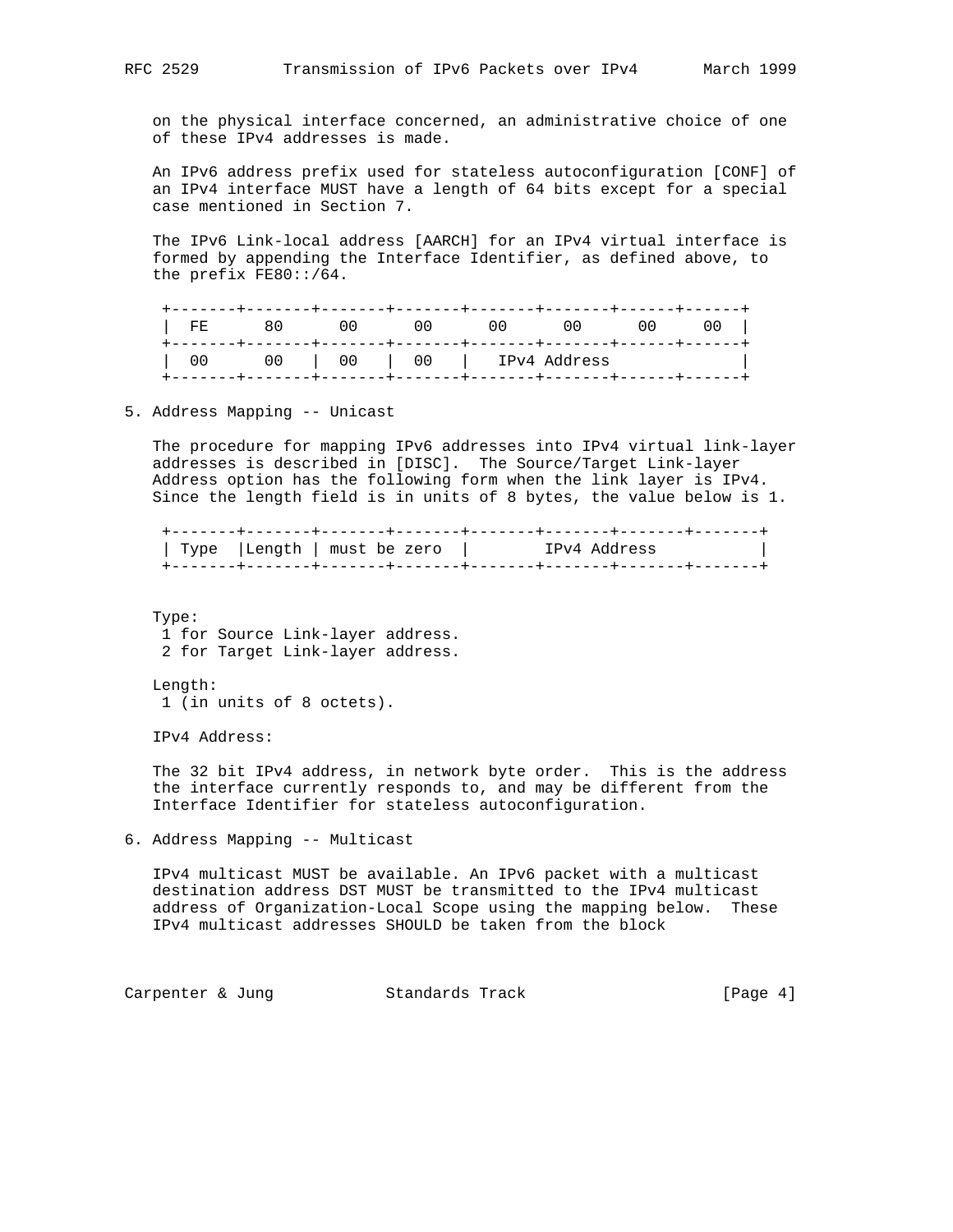on the physical interface concerned, an administrative choice of one of these IPv4 addresses is made.

 An IPv6 address prefix used for stateless autoconfiguration [CONF] of an IPv4 interface MUST have a length of 64 bits except for a special case mentioned in Section 7.

 The IPv6 Link-local address [AARCH] for an IPv4 virtual interface is formed by appending the Interface Identifier, as defined above, to the prefix FE80::/64.

| FF. | 80. | . | . _ _ _ _ _ _ + _ _ _ _ _ _ _ + _ _ _ | U U | 00 | U U |
|-----|-----|---|---------------------------------------|-----|----|-----|
|     | 00  |   | 00   00   IPv4 Address                |     |    |     |

5. Address Mapping -- Unicast

 The procedure for mapping IPv6 addresses into IPv4 virtual link-layer addresses is described in [DISC]. The Source/Target Link-layer Address option has the following form when the link layer is IPv4. Since the length field is in units of 8 bytes, the value below is 1.

 +-------+-------+-------+-------+-------+-------+-------+-------+ | Type |Length | must be zero | IPv4 Address | +-------+-------+-------+-------+-------+-------+-------+-------+

 Type: 1 for Source Link-layer address. 2 for Target Link-layer address.

Length:

1 (in units of 8 octets).

IPv4 Address:

 The 32 bit IPv4 address, in network byte order. This is the address the interface currently responds to, and may be different from the Interface Identifier for stateless autoconfiguration.

6. Address Mapping -- Multicast

 IPv4 multicast MUST be available. An IPv6 packet with a multicast destination address DST MUST be transmitted to the IPv4 multicast address of Organization-Local Scope using the mapping below. These IPv4 multicast addresses SHOULD be taken from the block

Carpenter & Jung Standards Track [Page 4]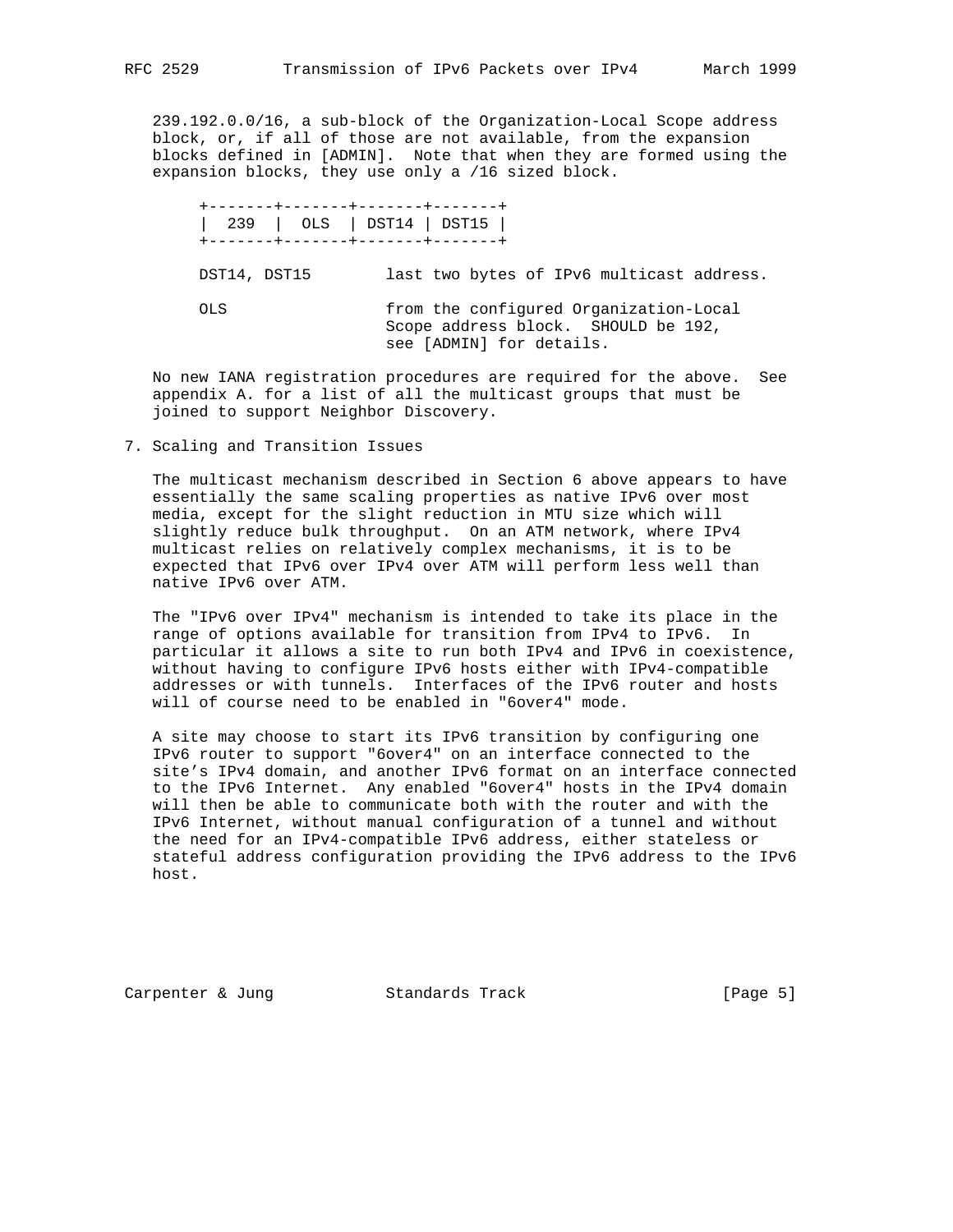239.192.0.0/16, a sub-block of the Organization-Local Scope address block, or, if all of those are not available, from the expansion blocks defined in [ADMIN]. Note that when they are formed using the expansion blocks, they use only a /16 sized block.

 +-------+-------+-------+-------+ | 239 | OLS | DST14 | DST15 | +-------+-------+-------+-------+ DST14, DST15 last two bytes of IPv6 multicast address. OLS from the configured Organization-Local Scope address block. SHOULD be 192, see [ADMIN] for details.

 No new IANA registration procedures are required for the above. See appendix A. for a list of all the multicast groups that must be joined to support Neighbor Discovery.

7. Scaling and Transition Issues

 The multicast mechanism described in Section 6 above appears to have essentially the same scaling properties as native IPv6 over most media, except for the slight reduction in MTU size which will slightly reduce bulk throughput. On an ATM network, where IPv4 multicast relies on relatively complex mechanisms, it is to be expected that IPv6 over IPv4 over ATM will perform less well than native IPv6 over ATM.

 The "IPv6 over IPv4" mechanism is intended to take its place in the range of options available for transition from IPv4 to IPv6. In particular it allows a site to run both IPv4 and IPv6 in coexistence, without having to configure IPv6 hosts either with IPv4-compatible addresses or with tunnels. Interfaces of the IPv6 router and hosts will of course need to be enabled in "6over4" mode.

 A site may choose to start its IPv6 transition by configuring one IPv6 router to support "6over4" on an interface connected to the site's IPv4 domain, and another IPv6 format on an interface connected to the IPv6 Internet. Any enabled "6over4" hosts in the IPv4 domain will then be able to communicate both with the router and with the IPv6 Internet, without manual configuration of a tunnel and without the need for an IPv4-compatible IPv6 address, either stateless or stateful address configuration providing the IPv6 address to the IPv6 host.

Carpenter & Jung Standards Track (Page 5)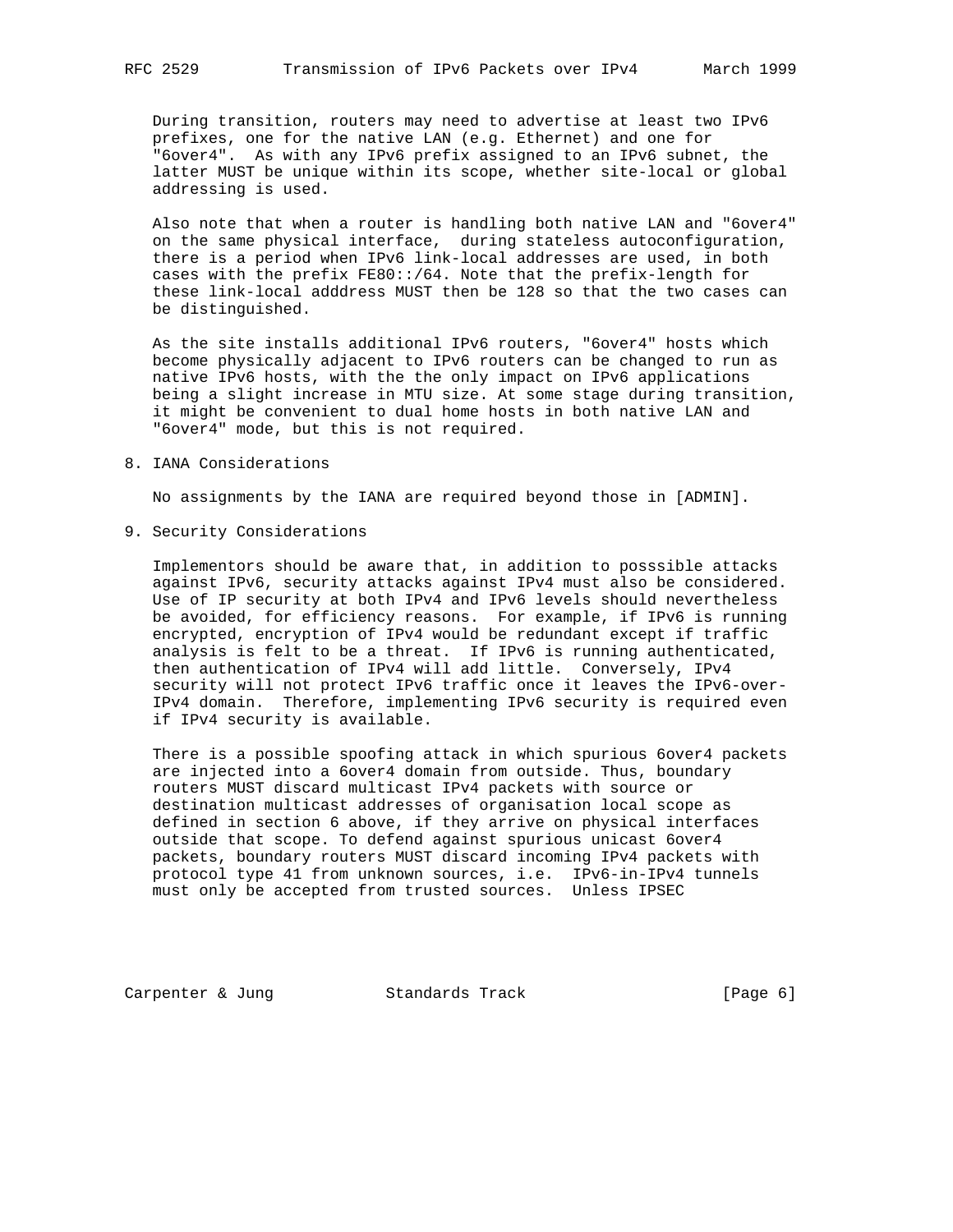During transition, routers may need to advertise at least two IPv6 prefixes, one for the native LAN (e.g. Ethernet) and one for "6over4". As with any IPv6 prefix assigned to an IPv6 subnet, the latter MUST be unique within its scope, whether site-local or global addressing is used.

 Also note that when a router is handling both native LAN and "6over4" on the same physical interface, during stateless autoconfiguration, there is a period when IPv6 link-local addresses are used, in both cases with the prefix FE80::/64. Note that the prefix-length for these link-local adddress MUST then be 128 so that the two cases can be distinguished.

 As the site installs additional IPv6 routers, "6over4" hosts which become physically adjacent to IPv6 routers can be changed to run as native IPv6 hosts, with the the only impact on IPv6 applications being a slight increase in MTU size. At some stage during transition, it might be convenient to dual home hosts in both native LAN and "6over4" mode, but this is not required.

#### 8. IANA Considerations

No assignments by the IANA are required beyond those in [ADMIN].

9. Security Considerations

 Implementors should be aware that, in addition to posssible attacks against IPv6, security attacks against IPv4 must also be considered. Use of IP security at both IPv4 and IPv6 levels should nevertheless be avoided, for efficiency reasons. For example, if IPv6 is running encrypted, encryption of IPv4 would be redundant except if traffic analysis is felt to be a threat. If IPv6 is running authenticated, then authentication of IPv4 will add little. Conversely, IPv4 security will not protect IPv6 traffic once it leaves the IPv6-over- IPv4 domain. Therefore, implementing IPv6 security is required even if IPv4 security is available.

 There is a possible spoofing attack in which spurious 6over4 packets are injected into a 6over4 domain from outside. Thus, boundary routers MUST discard multicast IPv4 packets with source or destination multicast addresses of organisation local scope as defined in section 6 above, if they arrive on physical interfaces outside that scope. To defend against spurious unicast 6over4 packets, boundary routers MUST discard incoming IPv4 packets with protocol type 41 from unknown sources, i.e. IPv6-in-IPv4 tunnels must only be accepted from trusted sources. Unless IPSEC

Carpenter & Jung Standards Track [Page 6]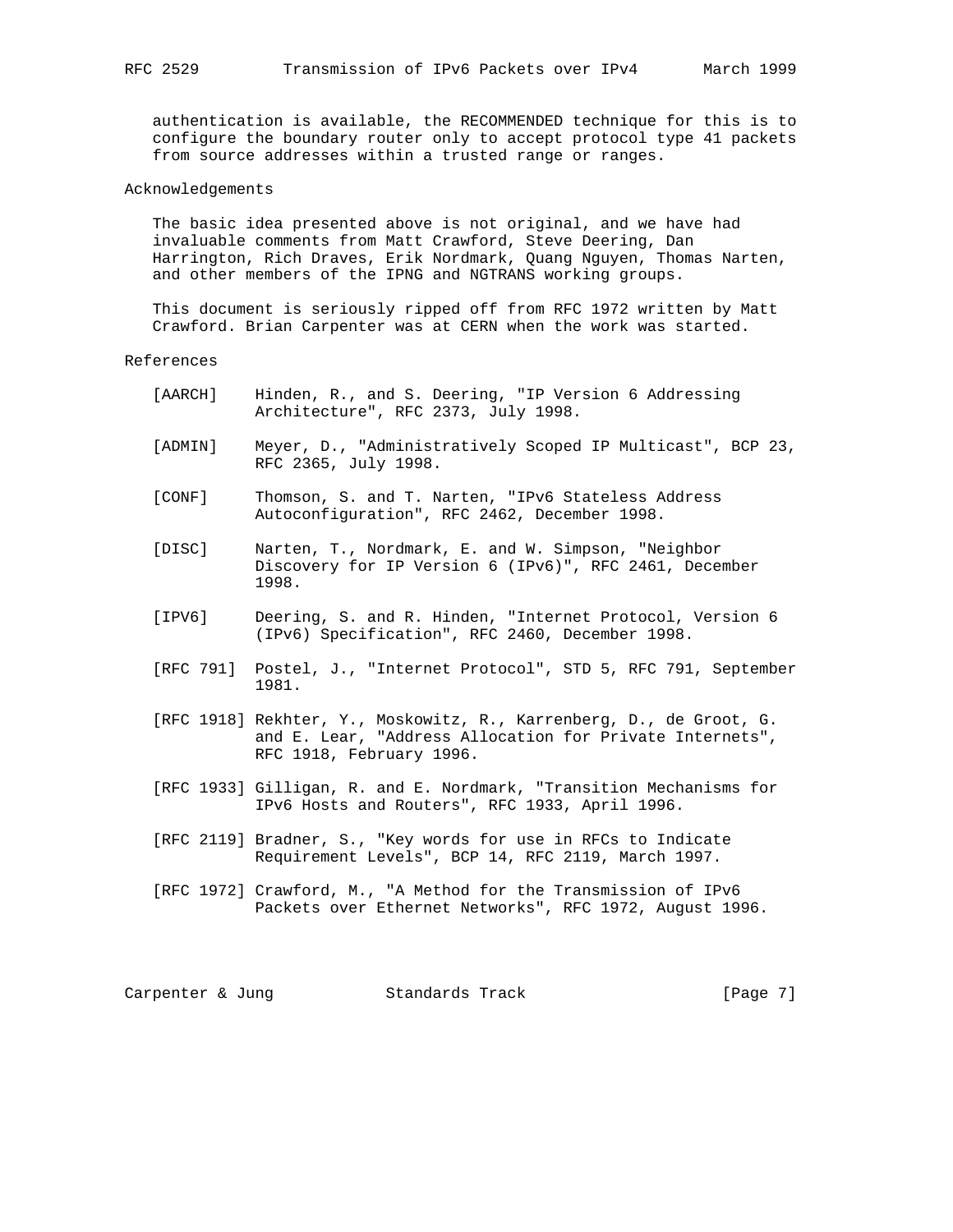authentication is available, the RECOMMENDED technique for this is to configure the boundary router only to accept protocol type 41 packets from source addresses within a trusted range or ranges.

## Acknowledgements

 The basic idea presented above is not original, and we have had invaluable comments from Matt Crawford, Steve Deering, Dan Harrington, Rich Draves, Erik Nordmark, Quang Nguyen, Thomas Narten, and other members of the IPNG and NGTRANS working groups.

 This document is seriously ripped off from RFC 1972 written by Matt Crawford. Brian Carpenter was at CERN when the work was started.

References

- [AARCH] Hinden, R., and S. Deering, "IP Version 6 Addressing Architecture", RFC 2373, July 1998.
- [ADMIN] Meyer, D., "Administratively Scoped IP Multicast", BCP 23, RFC 2365, July 1998.
- [CONF] Thomson, S. and T. Narten, "IPv6 Stateless Address Autoconfiguration", RFC 2462, December 1998.
- [DISC] Narten, T., Nordmark, E. and W. Simpson, "Neighbor Discovery for IP Version 6 (IPv6)", RFC 2461, December 1998.
- [IPV6] Deering, S. and R. Hinden, "Internet Protocol, Version 6 (IPv6) Specification", RFC 2460, December 1998.
- [RFC 791] Postel, J., "Internet Protocol", STD 5, RFC 791, September 1981.
- [RFC 1918] Rekhter, Y., Moskowitz, R., Karrenberg, D., de Groot, G. and E. Lear, "Address Allocation for Private Internets", RFC 1918, February 1996.
- [RFC 1933] Gilligan, R. and E. Nordmark, "Transition Mechanisms for IPv6 Hosts and Routers", RFC 1933, April 1996.
- [RFC 2119] Bradner, S., "Key words for use in RFCs to Indicate Requirement Levels", BCP 14, RFC 2119, March 1997.
- [RFC 1972] Crawford, M., "A Method for the Transmission of IPv6 Packets over Ethernet Networks", RFC 1972, August 1996.

Carpenter & Jung Standards Track [Page 7]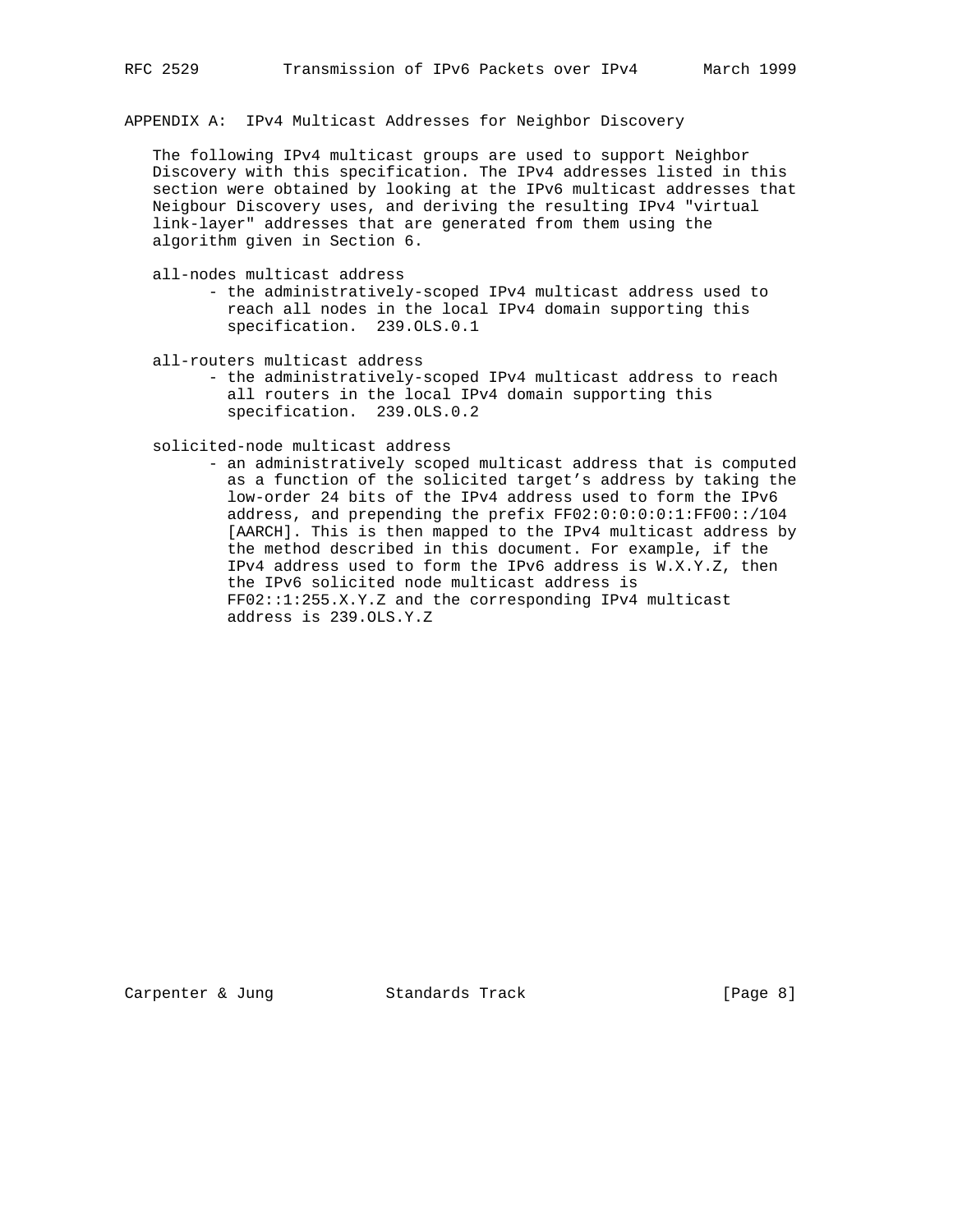APPENDIX A: IPv4 Multicast Addresses for Neighbor Discovery

 The following IPv4 multicast groups are used to support Neighbor Discovery with this specification. The IPv4 addresses listed in this section were obtained by looking at the IPv6 multicast addresses that Neigbour Discovery uses, and deriving the resulting IPv4 "virtual link-layer" addresses that are generated from them using the algorithm given in Section 6.

all-nodes multicast address

- the administratively-scoped IPv4 multicast address used to reach all nodes in the local IPv4 domain supporting this specification. 239.OLS.0.1
- all-routers multicast address - the administratively-scoped IPv4 multicast address to reach all routers in the local IPv4 domain supporting this specification. 239.OLS.0.2

solicited-node multicast address

 - an administratively scoped multicast address that is computed as a function of the solicited target's address by taking the low-order 24 bits of the IPv4 address used to form the IPv6 address, and prepending the prefix FF02:0:0:0:0:1:FF00::/104 [AARCH]. This is then mapped to the IPv4 multicast address by the method described in this document. For example, if the IPv4 address used to form the IPv6 address is W.X.Y.Z, then the IPv6 solicited node multicast address is FF02::1:255.X.Y.Z and the corresponding IPv4 multicast address is 239.OLS.Y.Z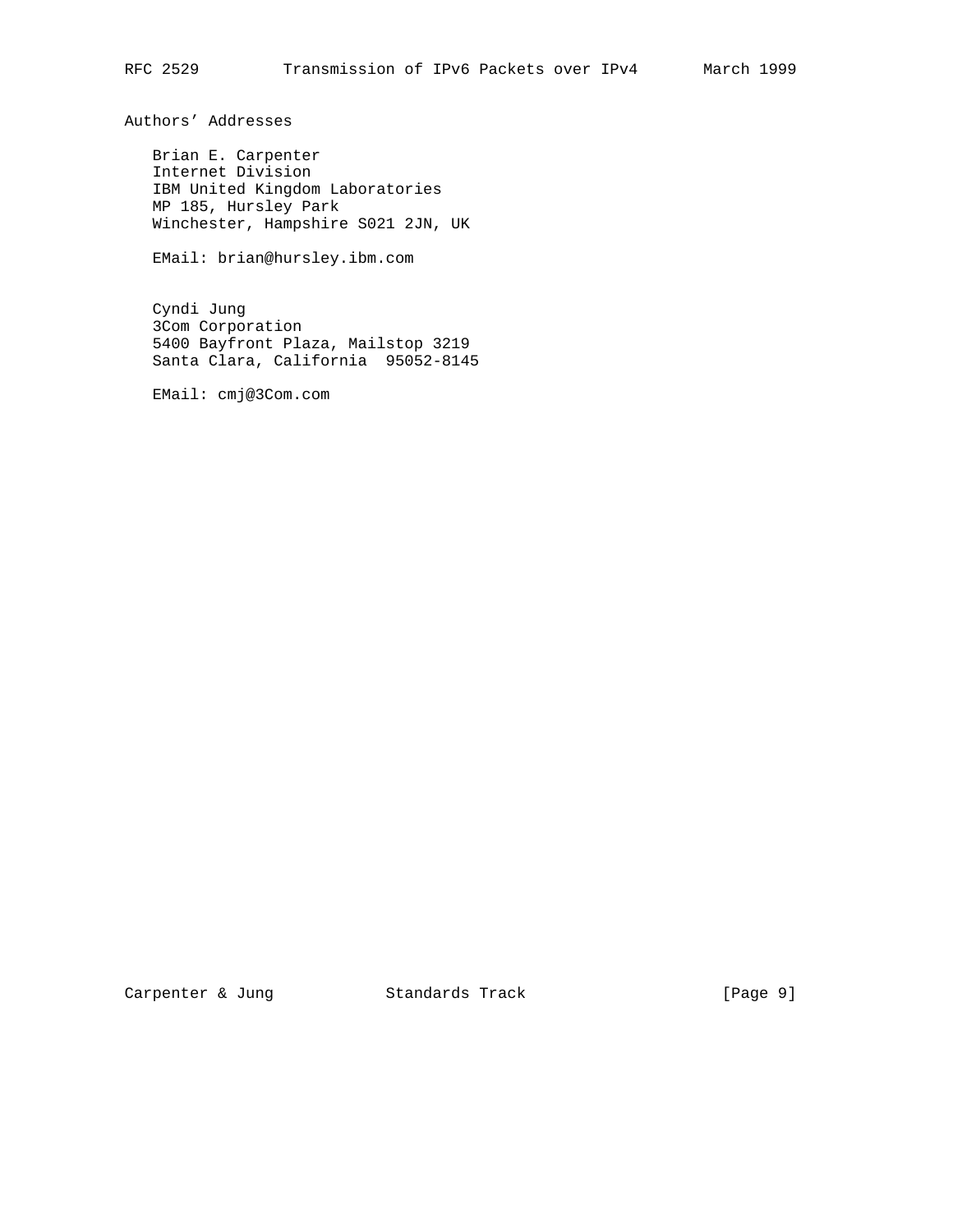Authors' Addresses

 Brian E. Carpenter Internet Division IBM United Kingdom Laboratories MP 185, Hursley Park Winchester, Hampshire S021 2JN, UK

EMail: brian@hursley.ibm.com

 Cyndi Jung 3Com Corporation 5400 Bayfront Plaza, Mailstop 3219 Santa Clara, California 95052-8145

EMail: cmj@3Com.com